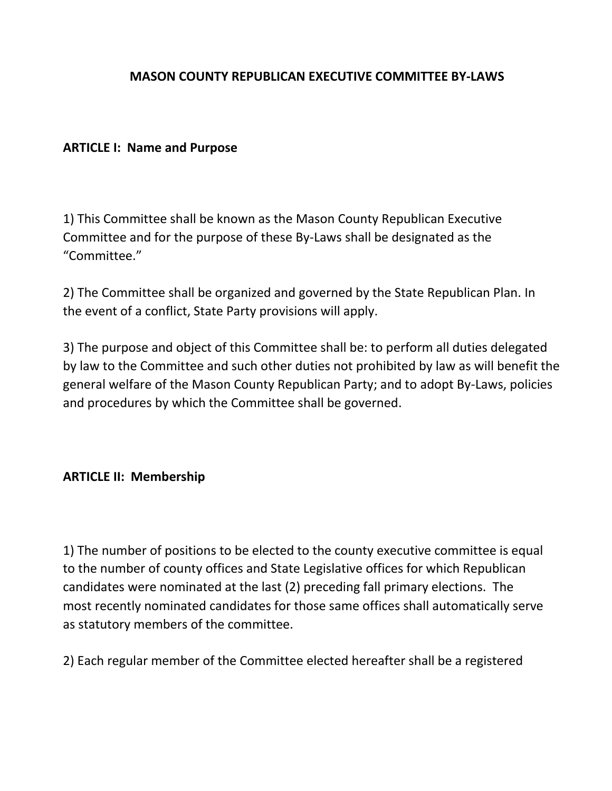#### **MASON COUNTY REPUBLICAN EXECUTIVE COMMITTEE BY-LAWS**

#### **ARTICLE I: Name and Purpose**

1) This Committee shall be known as the Mason County Republican Executive Committee and for the purpose of these By-Laws shall be designated as the "Committee."

2) The Committee shall be organized and governed by the State Republican Plan. In the event of a conflict, State Party provisions will apply.

3) The purpose and object of this Committee shall be: to perform all duties delegated by law to the Committee and such other duties not prohibited by law as will benefit the general welfare of the Mason County Republican Party; and to adopt By-Laws, policies and procedures by which the Committee shall be governed.

### **ARTICLE II: Membership**

1) The number of positions to be elected to the county executive committee is equal to the number of county offices and State Legislative offices for which Republican candidates were nominated at the last (2) preceding fall primary elections. The most recently nominated candidates for those same offices shall automatically serve as statutory members of the committee.

2) Each regular member of the Committee elected hereafter shall be a registered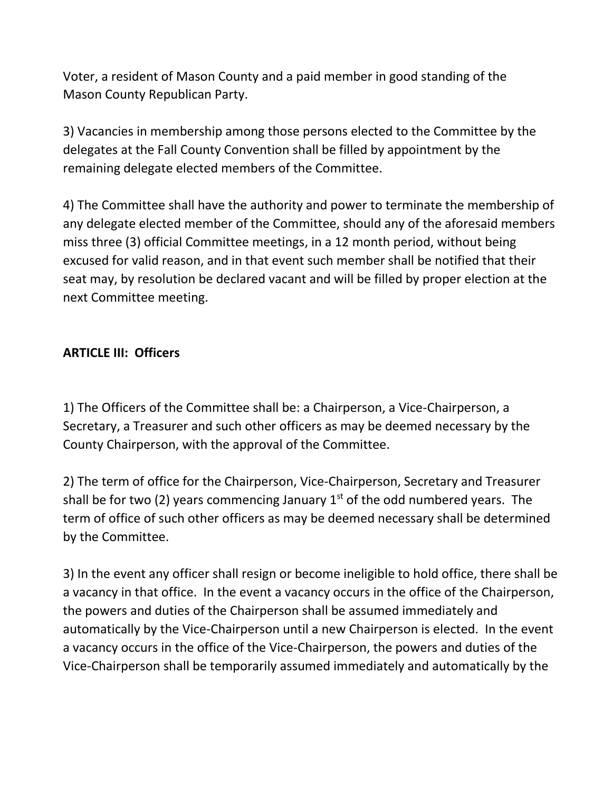Voter, a resident of Mason County and a paid member in good standing of the Mason County Republican Party.

3) Vacancies in membership among those persons elected to the Committee by the delegates at the Fall County Convention shall be filled by appointment by the remaining delegate elected members of the Committee.

4) The Committee shall have the authority and power to terminate the membership of any delegate elected member of the Committee, should any of the aforesaid members miss three (3) official Committee meetings, in a 12 month period, without being excused for valid reason, and in that event such member shall be notified that their seat may, by resolution be declared vacant and will be filled by proper election at the next Committee meeting.

### **ARTICLE III: Officers**

1) The Officers of the Committee shall be: a Chairperson, a Vice-Chairperson, a Secretary, a Treasurer and such other officers as may be deemed necessary by the County Chairperson, with the approval of the Committee.

2) The term of office for the Chairperson, Vice-Chairperson, Secretary and Treasurer shall be for two (2) years commencing January  $1<sup>st</sup>$  of the odd numbered years. The term of office of such other officers as may be deemed necessary shall be determined by the Committee.

3) In the event any officer shall resign or become ineligible to hold office, there shall be a vacancy in that office. In the event a vacancy occurs in the office of the Chairperson, the powers and duties of the Chairperson shall be assumed immediately and automatically by the Vice-Chairperson until a new Chairperson is elected. In the event a vacancy occurs in the office of the Vice-Chairperson, the powers and duties of the Vice-Chairperson shall be temporarily assumed immediately and automatically by the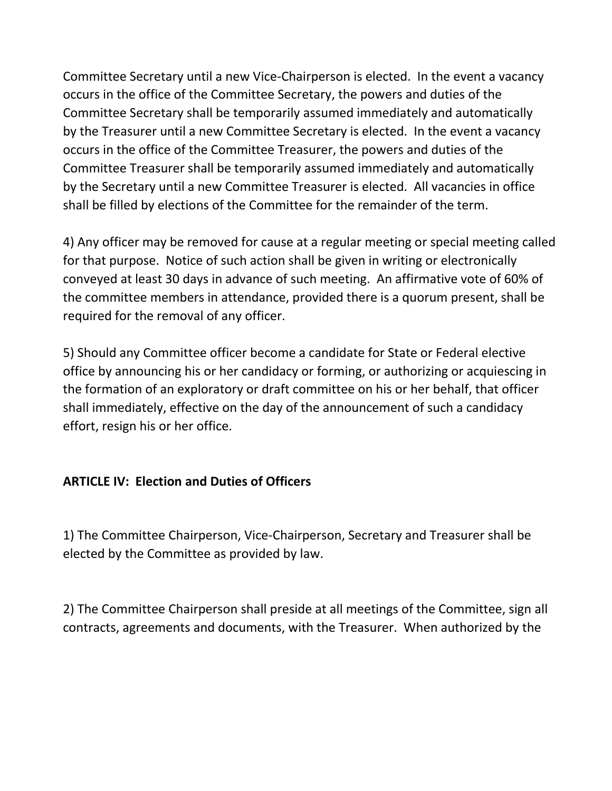Committee Secretary until a new Vice-Chairperson is elected. In the event a vacancy occurs in the office of the Committee Secretary, the powers and duties of the Committee Secretary shall be temporarily assumed immediately and automatically by the Treasurer until a new Committee Secretary is elected. In the event a vacancy occurs in the office of the Committee Treasurer, the powers and duties of the Committee Treasurer shall be temporarily assumed immediately and automatically by the Secretary until a new Committee Treasurer is elected. All vacancies in office shall be filled by elections of the Committee for the remainder of the term.

4) Any officer may be removed for cause at a regular meeting or special meeting called for that purpose. Notice of such action shall be given in writing or electronically conveyed at least 30 days in advance of such meeting. An affirmative vote of 60% of the committee members in attendance, provided there is a quorum present, shall be required for the removal of any officer.

5) Should any Committee officer become a candidate for State or Federal elective office by announcing his or her candidacy or forming, or authorizing or acquiescing in the formation of an exploratory or draft committee on his or her behalf, that officer shall immediately, effective on the day of the announcement of such a candidacy effort, resign his or her office.

# **ARTICLE IV: Election and Duties of Officers**

1) The Committee Chairperson, Vice-Chairperson, Secretary and Treasurer shall be elected by the Committee as provided by law.

2) The Committee Chairperson shall preside at all meetings of the Committee, sign all contracts, agreements and documents, with the Treasurer. When authorized by the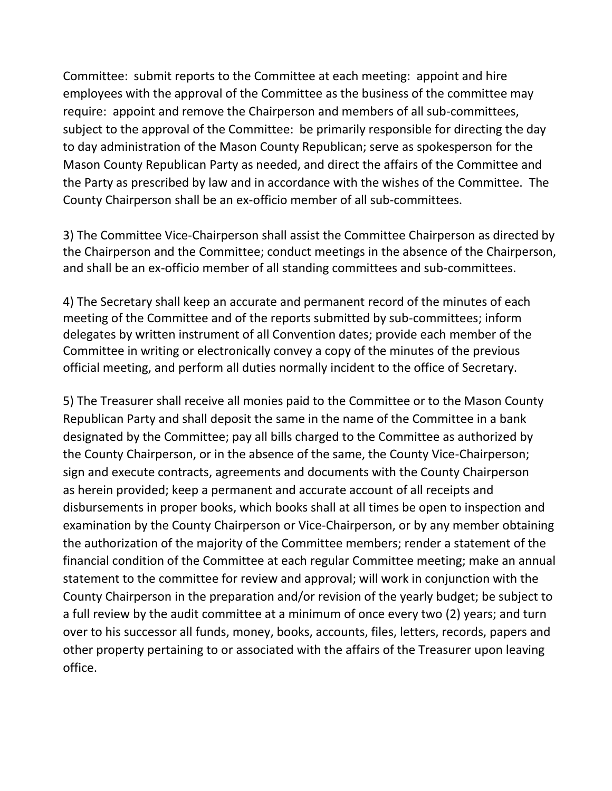Committee: submit reports to the Committee at each meeting: appoint and hire employees with the approval of the Committee as the business of the committee may require: appoint and remove the Chairperson and members of all sub-committees, subject to the approval of the Committee: be primarily responsible for directing the day to day administration of the Mason County Republican; serve as spokesperson for the Mason County Republican Party as needed, and direct the affairs of the Committee and the Party as prescribed by law and in accordance with the wishes of the Committee. The County Chairperson shall be an ex-officio member of all sub-committees.

3) The Committee Vice-Chairperson shall assist the Committee Chairperson as directed by the Chairperson and the Committee; conduct meetings in the absence of the Chairperson, and shall be an ex-officio member of all standing committees and sub-committees.

4) The Secretary shall keep an accurate and permanent record of the minutes of each meeting of the Committee and of the reports submitted by sub-committees; inform delegates by written instrument of all Convention dates; provide each member of the Committee in writing or electronically convey a copy of the minutes of the previous official meeting, and perform all duties normally incident to the office of Secretary.

5) The Treasurer shall receive all monies paid to the Committee or to the Mason County Republican Party and shall deposit the same in the name of the Committee in a bank designated by the Committee; pay all bills charged to the Committee as authorized by the County Chairperson, or in the absence of the same, the County Vice-Chairperson; sign and execute contracts, agreements and documents with the County Chairperson as herein provided; keep a permanent and accurate account of all receipts and disbursements in proper books, which books shall at all times be open to inspection and examination by the County Chairperson or Vice-Chairperson, or by any member obtaining the authorization of the majority of the Committee members; render a statement of the financial condition of the Committee at each regular Committee meeting; make an annual statement to the committee for review and approval; will work in conjunction with the County Chairperson in the preparation and/or revision of the yearly budget; be subject to a full review by the audit committee at a minimum of once every two (2) years; and turn over to his successor all funds, money, books, accounts, files, letters, records, papers and other property pertaining to or associated with the affairs of the Treasurer upon leaving office.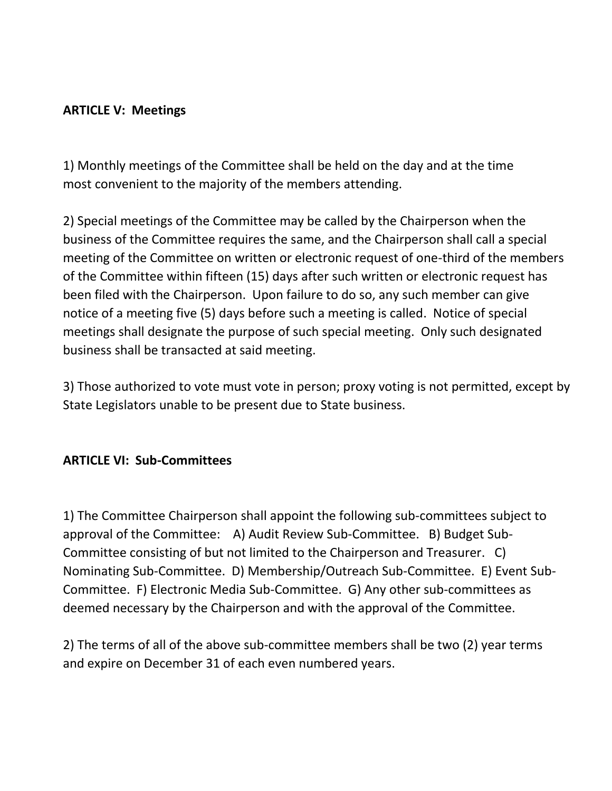# **ARTICLE V: Meetings**

1) Monthly meetings of the Committee shall be held on the day and at the time most convenient to the majority of the members attending.

2) Special meetings of the Committee may be called by the Chairperson when the business of the Committee requires the same, and the Chairperson shall call a special meeting of the Committee on written or electronic request of one-third of the members of the Committee within fifteen (15) days after such written or electronic request has been filed with the Chairperson. Upon failure to do so, any such member can give notice of a meeting five (5) days before such a meeting is called. Notice of special meetings shall designate the purpose of such special meeting. Only such designated business shall be transacted at said meeting.

3) Those authorized to vote must vote in person; proxy voting is not permitted, except by State Legislators unable to be present due to State business.

### **ARTICLE VI: Sub-Committees**

1) The Committee Chairperson shall appoint the following sub-committees subject to approval of the Committee: A) Audit Review Sub-Committee. B) Budget Sub-Committee consisting of but not limited to the Chairperson and Treasurer. C) Nominating Sub-Committee. D) Membership/Outreach Sub-Committee. E) Event Sub-Committee. F) Electronic Media Sub-Committee. G) Any other sub-committees as deemed necessary by the Chairperson and with the approval of the Committee.

2) The terms of all of the above sub-committee members shall be two (2) year terms and expire on December 31 of each even numbered years.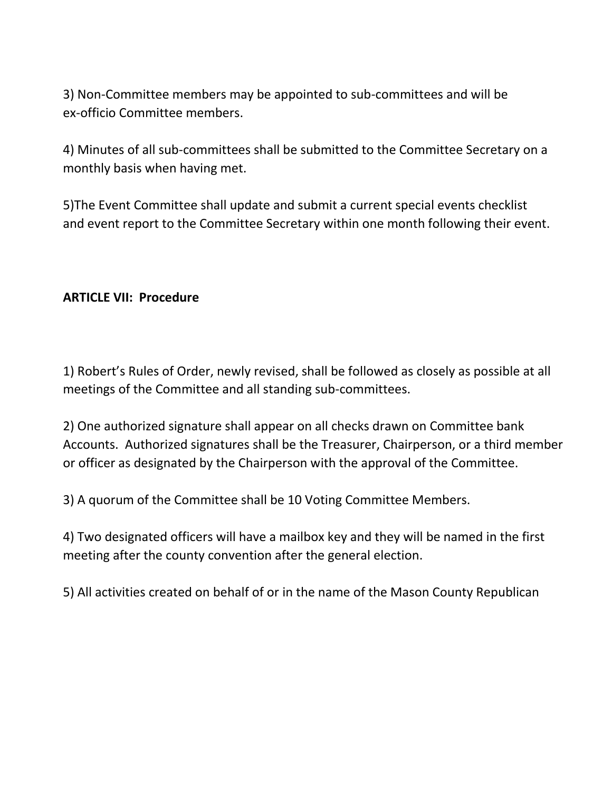3) Non-Committee members may be appointed to sub-committees and will be ex-officio Committee members.

4) Minutes of all sub-committees shall be submitted to the Committee Secretary on a monthly basis when having met.

5)The Event Committee shall update and submit a current special events checklist and event report to the Committee Secretary within one month following their event.

### **ARTICLE VII: Procedure**

1) Robert's Rules of Order, newly revised, shall be followed as closely as possible at all meetings of the Committee and all standing sub-committees.

2) One authorized signature shall appear on all checks drawn on Committee bank Accounts. Authorized signatures shall be the Treasurer, Chairperson, or a third member or officer as designated by the Chairperson with the approval of the Committee.

3) A quorum of the Committee shall be 10 Voting Committee Members.

4) Two designated officers will have a mailbox key and they will be named in the first meeting after the county convention after the general election.

5) All activities created on behalf of or in the name of the Mason County Republican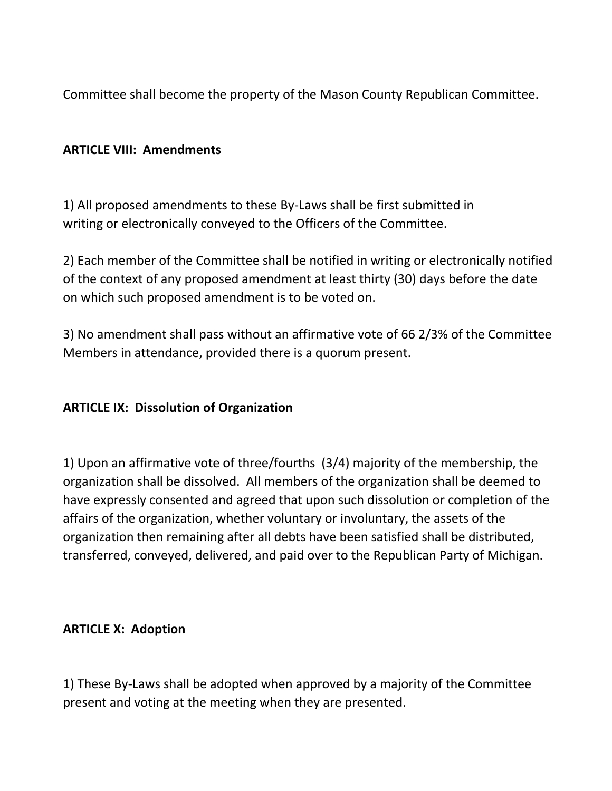Committee shall become the property of the Mason County Republican Committee.

# **ARTICLE VIII: Amendments**

1) All proposed amendments to these By-Laws shall be first submitted in writing or electronically conveyed to the Officers of the Committee.

2) Each member of the Committee shall be notified in writing or electronically notified of the context of any proposed amendment at least thirty (30) days before the date on which such proposed amendment is to be voted on.

3) No amendment shall pass without an affirmative vote of 66 2/3% of the Committee Members in attendance, provided there is a quorum present.

### **ARTICLE IX: Dissolution of Organization**

1) Upon an affirmative vote of three/fourths (3/4) majority of the membership, the organization shall be dissolved. All members of the organization shall be deemed to have expressly consented and agreed that upon such dissolution or completion of the affairs of the organization, whether voluntary or involuntary, the assets of the organization then remaining after all debts have been satisfied shall be distributed, transferred, conveyed, delivered, and paid over to the Republican Party of Michigan.

### **ARTICLE X: Adoption**

1) These By-Laws shall be adopted when approved by a majority of the Committee present and voting at the meeting when they are presented.